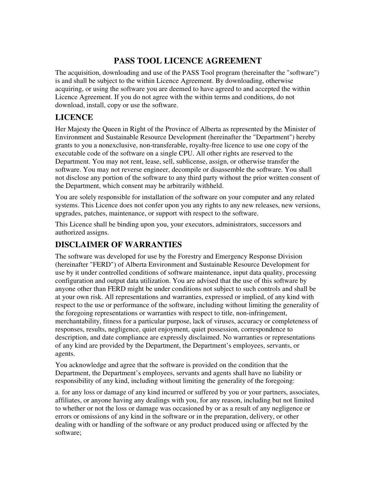## **PASS TOOL LICENCE AGREEMENT**

The acquisition, downloading and use of the PASS Tool program (hereinafter the "software") is and shall be subject to the within Licence Agreement. By downloading, otherwise acquiring, or using the software you are deemed to have agreed to and accepted the within Licence Agreement. If you do not agree with the within terms and conditions, do not download, install, copy or use the software.

## **LICENCE**

Her Majesty the Queen in Right of the Province of Alberta as represented by the Minister of Environment and Sustainable Resource Development (hereinafter the "Department") hereby grants to you a nonexclusive, non-transferable, royalty-free licence to use one copy of the executable code of the software on a single CPU. All other rights are reserved to the Department. You may not rent, lease, sell, sublicense, assign, or otherwise transfer the software. You may not reverse engineer, decompile or disassemble the software. You shall not disclose any portion of the software to any third party without the prior written consent of the Department, which consent may be arbitrarily withheld.

You are solely responsible for installation of the software on your computer and any related systems. This Licence does not confer upon you any rights to any new releases, new versions, upgrades, patches, maintenance, or support with respect to the software.

This Licence shall be binding upon you, your executors, administrators, successors and authorized assigns.

#### **DISCLAIMER OF WARRANTIES**

The software was developed for use by the Forestry and Emergency Response Division (hereinafter "FERD") of Alberta Environment and Sustainable Resource Development for use by it under controlled conditions of software maintenance, input data quality, processing configuration and output data utilization. You are advised that the use of this software by anyone other than FERD might be under conditions not subject to such controls and shall be at your own risk. All representations and warranties, expressed or implied, of any kind with respect to the use or performance of the software, including without limiting the generality of the foregoing representations or warranties with respect to title, non-infringement, merchantability, fitness for a particular purpose, lack of viruses, accuracy or completeness of responses, results, negligence, quiet enjoyment, quiet possession, correspondence to description, and date compliance are expressly disclaimed. No warranties or representations of any kind are provided by the Department, the Department's employees, servants, or agents.

You acknowledge and agree that the software is provided on the condition that the Department, the Department's employees, servants and agents shall have no liability or responsibility of any kind, including without limiting the generality of the foregoing:

a. for any loss or damage of any kind incurred or suffered by you or your partners, associates, affiliates, or anyone having any dealings with you, for any reason, including but not limited to whether or not the loss or damage was occasioned by or as a result of any negligence or errors or omissions of any kind in the software or in the preparation, delivery, or other dealing with or handling of the software or any product produced using or affected by the software;